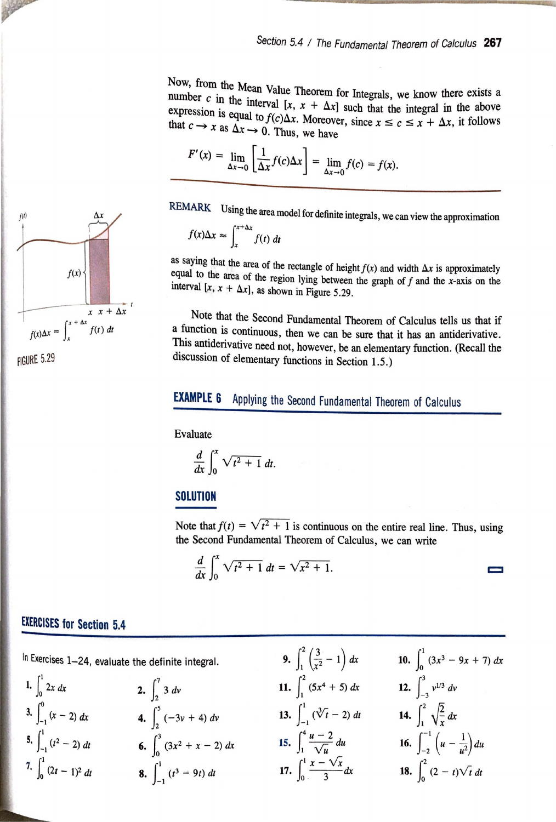Now, from the Mean Value Theorem for Integrals, we know there exists a number  $c$  in the integral of  $\mathbb{R}^n$ number *c* in the interval  $[x, x + \Delta x]$  such that the integral in the above expression is equal to  $f(x) \Delta x$ . Moreover, expression is equal to  $f(c)\Delta x$ . Moreover, since  $x \le c \le x + \Delta x$ , it follows that  $c \to x$  as  $\Delta x \to 0$ . Thus, we have

$$
F'(x) = \lim_{\Delta x \to 0} \left[ \frac{1}{\Delta x} f(c) \Delta x \right] = \lim_{\Delta x \to 0} f(c) = f(x).
$$

REMARK Using the area model for definite integrals, we can view the approximation *f(x)A.x* "" f *+Ax f(t) dt* 

$$
f(x)\Delta x \approx \int_{x}^{x+\Delta x} f(t) dt
$$

as saying that the area of the rectangle of height  $f(x)$  and width  $\Delta x$  is approximately equal to the area of the region lying between the graph of  $f$  and the x-axis on the interval  $[x, x + \Delta x]$ , as shown in Figure 5.29.

Note that the Second Fundamental Theorem of Calculus tells us that if a function is continuous, then we can be sure that it has an antiderivative. This antiderivative need not, however, be an elementary function. (Recall the discussion of elementary functions in Section 1.5.)

## **EXAMPLE 6** Applying the Second Fundamental Theorem of Calculus

Evaluate

$$
\frac{d}{dx}\int_0^x \sqrt{t^2+1}\,dt.
$$

## **SOLUTION**

Note that  $f(t) = \sqrt{t^2 + 1}$  is continuous on the entire real line. Thus, using the Second Fundamental Theorem of Calculus, we can write

 $\equiv$ 

$$
\frac{d}{dx}\int_0^x \sqrt{t^2+1} dt = \sqrt{x^2+1}.
$$

## **EXERCISES for Section 5.4**

$$
\begin{array}{llll}\n\text{In Exercises 1-24, evaluate the definite integral.} & \mathbf{9.} & \int_{1}^{2} \left(\frac{3}{x^{2}}-1\right) dx & \mathbf{10.} & \int_{0}^{1} (3x^{3}-9x+7) dx \\
\text{1.} & \int_{0}^{1} 2x dx & \mathbf{2.} & \int_{2}^{7} 3 dx & \mathbf{11.} & \int_{1}^{2} (5x^{4}+5) dx & \mathbf{12.} & \int_{-3}^{3} v^{1/3} dv \\
\text{3.} & \int_{-1}^{0} (x-2) dx & \mathbf{4.} & \int_{2}^{5} (-3v+4) dv & \mathbf{13.} & \int_{-1}^{1} \left(\sqrt[3]{t}-2\right) dt & \mathbf{14.} & \int_{1}^{2} \sqrt{\frac{2}{x}} dx \\
\text{5.} & \int_{-1}^{1} (t^{2}-2) dt & \mathbf{6.} & \int_{0}^{3} (3x^{2}+x-2) dx & \mathbf{15.} & \int_{1}^{4} \frac{u-2}{\sqrt{u}} du & \mathbf{16.} & \int_{-2}^{-1} \left(u-\frac{1}{u^{2}}\right) du \\
\text{7.} & \int_{0}^{1} (2t-1)^{2} dt & \mathbf{8.} & \int_{-1}^{1} (t^{3}-9t) dt & \mathbf{17.} & \int_{0}^{1} \frac{x-\sqrt{x}}{3} dx & \mathbf{18.} & \int_{0}^{2} (2-t)\sqrt{t} dt \\
\end{array}
$$